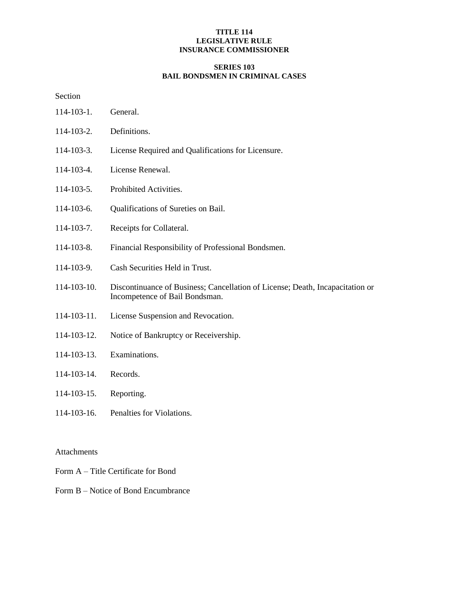## **TITLE 114 LEGISLATIVE RULE INSURANCE COMMISSIONER**

# **SERIES 103 BAIL BONDSMEN IN CRIMINAL CASES**

Section

- 114-103-1. General.
- 114-103-2. Definitions.
- 114-103-3. License Required and Qualifications for Licensure.
- 114-103-4. License Renewal.
- 114-103-5. Prohibited Activities.
- 114-103-6. Qualifications of Sureties on Bail.
- 114-103-7. Receipts for Collateral.
- 114-103-8. Financial Responsibility of Professional Bondsmen.
- 114-103-9. Cash Securities Held in Trust.
- 114-103-10. Discontinuance of Business; Cancellation of License; Death, Incapacitation or Incompetence of Bail Bondsman.
- 114-103-11. License Suspension and Revocation.
- 114-103-12. Notice of Bankruptcy or Receivership.
- 114-103-13. Examinations.
- 114-103-14. Records.
- 114-103-15. Reporting.
- 114-103-16. Penalties for Violations.

Attachments

- Form A Title Certificate for Bond
- Form B Notice of Bond Encumbrance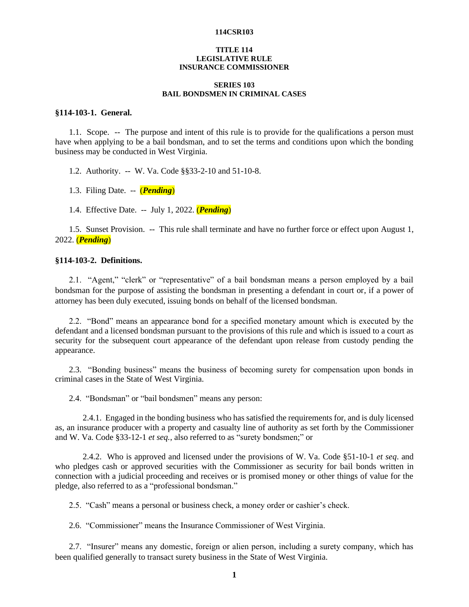## **TITLE 114 LEGISLATIVE RULE INSURANCE COMMISSIONER**

#### **SERIES 103 BAIL BONDSMEN IN CRIMINAL CASES**

#### **§114-103-1. General.**

1.1. Scope. -- The purpose and intent of this rule is to provide for the qualifications a person must have when applying to be a bail bondsman, and to set the terms and conditions upon which the bonding business may be conducted in West Virginia.

1.2. Authority. -- W. Va. Code §§33-2-10 and 51-10-8.

1.3. Filing Date. -- (*Pending*)

1.4. Effective Date. -- July 1, 2022. (*Pending*)

1.5. Sunset Provision. -- This rule shall terminate and have no further force or effect upon August 1, 2022. (*Pending*)

## **§114-103-2. Definitions.**

2.1. "Agent," "clerk" or "representative" of a bail bondsman means a person employed by a bail bondsman for the purpose of assisting the bondsman in presenting a defendant in court or, if a power of attorney has been duly executed, issuing bonds on behalf of the licensed bondsman.

2.2. "Bond" means an appearance bond for a specified monetary amount which is executed by the defendant and a licensed bondsman pursuant to the provisions of this rule and which is issued to a court as security for the subsequent court appearance of the defendant upon release from custody pending the appearance.

2.3. "Bonding business" means the business of becoming surety for compensation upon bonds in criminal cases in the State of West Virginia.

2.4. "Bondsman" or "bail bondsmen" means any person:

2.4.1. Engaged in the bonding business who has satisfied the requirements for, and is duly licensed as, an insurance producer with a property and casualty line of authority as set forth by the Commissioner and W. Va. Code §33-12-1 *et seq.*, also referred to as "surety bondsmen;" or

2.4.2. Who is approved and licensed under the provisions of W. Va. Code §51-10-1 *et seq*. and who pledges cash or approved securities with the Commissioner as security for bail bonds written in connection with a judicial proceeding and receives or is promised money or other things of value for the pledge, also referred to as a "professional bondsman."

2.5. "Cash" means a personal or business check, a money order or cashier's check.

2.6. "Commissioner" means the Insurance Commissioner of West Virginia.

2.7. "Insurer" means any domestic, foreign or alien person, including a surety company, which has been qualified generally to transact surety business in the State of West Virginia.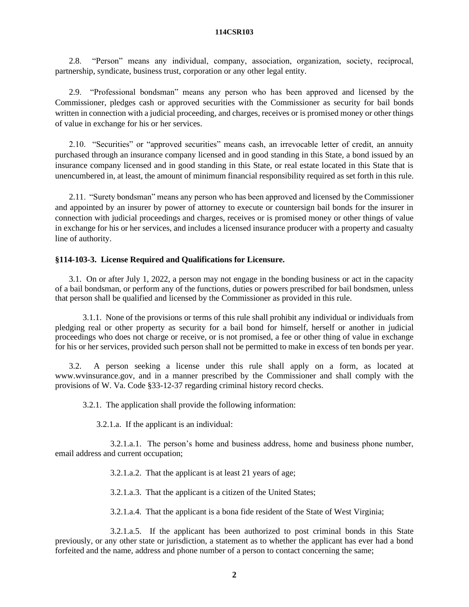2.8. "Person" means any individual, company, association, organization, society, reciprocal, partnership, syndicate, business trust, corporation or any other legal entity.

2.9. "Professional bondsman" means any person who has been approved and licensed by the Commissioner, pledges cash or approved securities with the Commissioner as security for bail bonds written in connection with a judicial proceeding, and charges, receives or is promised money or other things of value in exchange for his or her services.

2.10. "Securities" or "approved securities" means cash, an irrevocable letter of credit, an annuity purchased through an insurance company licensed and in good standing in this State, a bond issued by an insurance company licensed and in good standing in this State, or real estate located in this State that is unencumbered in, at least, the amount of minimum financial responsibility required as set forth in this rule.

2.11. "Surety bondsman" means any person who has been approved and licensed by the Commissioner and appointed by an insurer by power of attorney to execute or countersign bail bonds for the insurer in connection with judicial proceedings and charges, receives or is promised money or other things of value in exchange for his or her services, and includes a licensed insurance producer with a property and casualty line of authority.

## **§114-103-3. License Required and Qualifications for Licensure.**

3.1. On or after July 1, 2022, a person may not engage in the bonding business or act in the capacity of a bail bondsman, or perform any of the functions, duties or powers prescribed for bail bondsmen, unless that person shall be qualified and licensed by the Commissioner as provided in this rule.

3.1.1. None of the provisions or terms of this rule shall prohibit any individual or individuals from pledging real or other property as security for a bail bond for himself, herself or another in judicial proceedings who does not charge or receive, or is not promised, a fee or other thing of value in exchange for his or her services, provided such person shall not be permitted to make in excess of ten bonds per year.

3.2. A person seeking a license under this rule shall apply on a form, as located at www.wvinsurance.gov, and in a manner prescribed by the Commissioner and shall comply with the provisions of W. Va. Code §33-12-37 regarding criminal history record checks.

3.2.1. The application shall provide the following information:

3.2.1.a. If the applicant is an individual:

3.2.1.a.1. The person's home and business address, home and business phone number, email address and current occupation;

3.2.1.a.2. That the applicant is at least 21 years of age;

3.2.1.a.3. That the applicant is a citizen of the United States;

3.2.1.a.4. That the applicant is a bona fide resident of the State of West Virginia;

3.2.1.a.5. If the applicant has been authorized to post criminal bonds in this State previously, or any other state or jurisdiction, a statement as to whether the applicant has ever had a bond forfeited and the name, address and phone number of a person to contact concerning the same;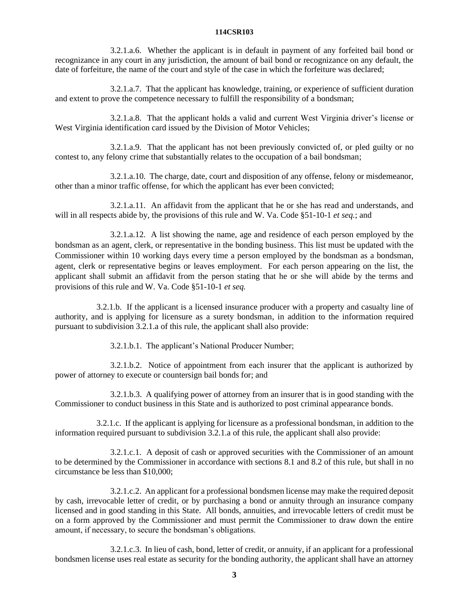3.2.1.a.6. Whether the applicant is in default in payment of any forfeited bail bond or recognizance in any court in any jurisdiction, the amount of bail bond or recognizance on any default, the date of forfeiture, the name of the court and style of the case in which the forfeiture was declared;

3.2.1.a.7. That the applicant has knowledge, training, or experience of sufficient duration and extent to prove the competence necessary to fulfill the responsibility of a bondsman;

3.2.1.a.8. That the applicant holds a valid and current West Virginia driver's license or West Virginia identification card issued by the Division of Motor Vehicles;

3.2.1.a.9. That the applicant has not been previously convicted of, or pled guilty or no contest to, any felony crime that substantially relates to the occupation of a bail bondsman;

3.2.1.a.10. The charge, date, court and disposition of any offense, felony or misdemeanor, other than a minor traffic offense, for which the applicant has ever been convicted;

3.2.1.a.11. An affidavit from the applicant that he or she has read and understands, and will in all respects abide by, the provisions of this rule and W. Va. Code §51-10-1 *et seq.*; and

3.2.1.a.12. A list showing the name, age and residence of each person employed by the bondsman as an agent, clerk, or representative in the bonding business. This list must be updated with the Commissioner within 10 working days every time a person employed by the bondsman as a bondsman, agent, clerk or representative begins or leaves employment. For each person appearing on the list, the applicant shall submit an affidavit from the person stating that he or she will abide by the terms and provisions of this rule and W. Va. Code §51-10-1 *et seq.*

3.2.1.b. If the applicant is a licensed insurance producer with a property and casualty line of authority, and is applying for licensure as a surety bondsman, in addition to the information required pursuant to subdivision 3.2.1.a of this rule, the applicant shall also provide:

3.2.1.b.1. The applicant's National Producer Number;

3.2.1.b.2. Notice of appointment from each insurer that the applicant is authorized by power of attorney to execute or countersign bail bonds for; and

3.2.1.b.3. A qualifying power of attorney from an insurer that is in good standing with the Commissioner to conduct business in this State and is authorized to post criminal appearance bonds.

3.2.1.c. If the applicant is applying for licensure as a professional bondsman, in addition to the information required pursuant to subdivision 3.2.1.a of this rule, the applicant shall also provide:

3.2.1.c.1. A deposit of cash or approved securities with the Commissioner of an amount to be determined by the Commissioner in accordance with sections 8.1 and 8.2 of this rule, but shall in no circumstance be less than \$10,000;

3.2.1.c.2. An applicant for a professional bondsmen license may make the required deposit by cash, irrevocable letter of credit, or by purchasing a bond or annuity through an insurance company licensed and in good standing in this State. All bonds, annuities, and irrevocable letters of credit must be on a form approved by the Commissioner and must permit the Commissioner to draw down the entire amount, if necessary, to secure the bondsman's obligations.

3.2.1.c.3. In lieu of cash, bond, letter of credit, or annuity, if an applicant for a professional bondsmen license uses real estate as security for the bonding authority, the applicant shall have an attorney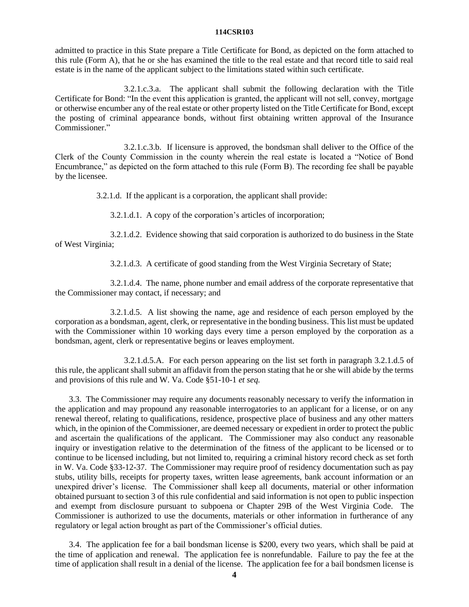admitted to practice in this State prepare a Title Certificate for Bond, as depicted on the form attached to this rule (Form A), that he or she has examined the title to the real estate and that record title to said real estate is in the name of the applicant subject to the limitations stated within such certificate.

3.2.1.c.3.a. The applicant shall submit the following declaration with the Title Certificate for Bond: "In the event this application is granted, the applicant will not sell, convey, mortgage or otherwise encumber any of the real estate or other property listed on the Title Certificate for Bond, except the posting of criminal appearance bonds, without first obtaining written approval of the Insurance Commissioner."

3.2.1.c.3.b. If licensure is approved, the bondsman shall deliver to the Office of the Clerk of the County Commission in the county wherein the real estate is located a "Notice of Bond Encumbrance," as depicted on the form attached to this rule (Form B). The recording fee shall be payable by the licensee.

3.2.1.d. If the applicant is a corporation, the applicant shall provide:

3.2.1.d.1. A copy of the corporation's articles of incorporation;

3.2.1.d.2. Evidence showing that said corporation is authorized to do business in the State of West Virginia;

3.2.1.d.3. A certificate of good standing from the West Virginia Secretary of State;

3.2.1.d.4. The name, phone number and email address of the corporate representative that the Commissioner may contact, if necessary; and

3.2.1.d.5. A list showing the name, age and residence of each person employed by the corporation as a bondsman, agent, clerk, or representative in the bonding business. This list must be updated with the Commissioner within 10 working days every time a person employed by the corporation as a bondsman, agent, clerk or representative begins or leaves employment.

3.2.1.d.5.A. For each person appearing on the list set forth in paragraph 3.2.1.d.5 of this rule, the applicant shall submit an affidavit from the person stating that he or she will abide by the terms and provisions of this rule and W. Va. Code §51-10-1 *et seq.*

3.3. The Commissioner may require any documents reasonably necessary to verify the information in the application and may propound any reasonable interrogatories to an applicant for a license, or on any renewal thereof, relating to qualifications, residence, prospective place of business and any other matters which, in the opinion of the Commissioner, are deemed necessary or expedient in order to protect the public and ascertain the qualifications of the applicant. The Commissioner may also conduct any reasonable inquiry or investigation relative to the determination of the fitness of the applicant to be licensed or to continue to be licensed including, but not limited to, requiring a criminal history record check as set forth in W. Va. Code §33-12-37. The Commissioner may require proof of residency documentation such as pay stubs, utility bills, receipts for property taxes, written lease agreements, bank account information or an unexpired driver's license. The Commissioner shall keep all documents, material or other information obtained pursuant to section 3 of this rule confidential and said information is not open to public inspection and exempt from disclosure pursuant to subpoena or Chapter 29B of the West Virginia Code. The Commissioner is authorized to use the documents, materials or other information in furtherance of any regulatory or legal action brought as part of the Commissioner's official duties.

3.4. The application fee for a bail bondsman license is \$200, every two years, which shall be paid at the time of application and renewal. The application fee is nonrefundable. Failure to pay the fee at the time of application shall result in a denial of the license. The application fee for a bail bondsmen license is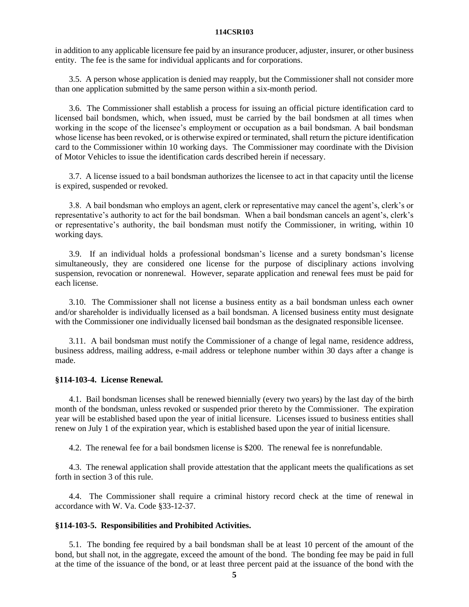in addition to any applicable licensure fee paid by an insurance producer, adjuster, insurer, or other business entity. The fee is the same for individual applicants and for corporations.

3.5. A person whose application is denied may reapply, but the Commissioner shall not consider more than one application submitted by the same person within a six-month period.

3.6. The Commissioner shall establish a process for issuing an official picture identification card to licensed bail bondsmen, which, when issued, must be carried by the bail bondsmen at all times when working in the scope of the licensee's employment or occupation as a bail bondsman. A bail bondsman whose license has been revoked, or is otherwise expired or terminated, shall return the picture identification card to the Commissioner within 10 working days. The Commissioner may coordinate with the Division of Motor Vehicles to issue the identification cards described herein if necessary.

3.7. A license issued to a bail bondsman authorizes the licensee to act in that capacity until the license is expired, suspended or revoked.

3.8. A bail bondsman who employs an agent, clerk or representative may cancel the agent's, clerk's or representative's authority to act for the bail bondsman. When a bail bondsman cancels an agent's, clerk's or representative's authority, the bail bondsman must notify the Commissioner, in writing, within 10 working days.

3.9. If an individual holds a professional bondsman's license and a surety bondsman's license simultaneously, they are considered one license for the purpose of disciplinary actions involving suspension, revocation or nonrenewal. However, separate application and renewal fees must be paid for each license.

3.10. The Commissioner shall not license a business entity as a bail bondsman unless each owner and/or shareholder is individually licensed as a bail bondsman. A licensed business entity must designate with the Commissioner one individually licensed bail bondsman as the designated responsible licensee.

3.11. A bail bondsman must notify the Commissioner of a change of legal name, residence address, business address, mailing address, e-mail address or telephone number within 30 days after a change is made.

### **§114-103-4. License Renewal.**

4.1. Bail bondsman licenses shall be renewed biennially (every two years) by the last day of the birth month of the bondsman, unless revoked or suspended prior thereto by the Commissioner. The expiration year will be established based upon the year of initial licensure. Licenses issued to business entities shall renew on July 1 of the expiration year, which is established based upon the year of initial licensure.

4.2. The renewal fee for a bail bondsmen license is \$200. The renewal fee is nonrefundable.

4.3. The renewal application shall provide attestation that the applicant meets the qualifications as set forth in section 3 of this rule.

4.4. The Commissioner shall require a criminal history record check at the time of renewal in accordance with W. Va. Code §33-12-37.

## **§114-103-5. Responsibilities and Prohibited Activities.**

5.1. The bonding fee required by a bail bondsman shall be at least 10 percent of the amount of the bond, but shall not, in the aggregate, exceed the amount of the bond. The bonding fee may be paid in full at the time of the issuance of the bond, or at least three percent paid at the issuance of the bond with the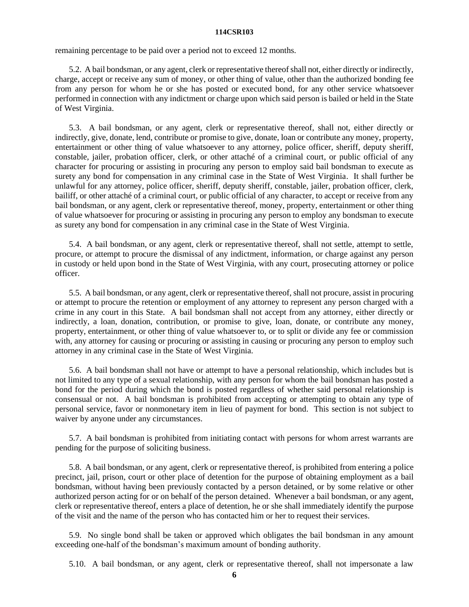remaining percentage to be paid over a period not to exceed 12 months.

5.2. A bail bondsman, or any agent, clerk or representative thereof shall not, either directly or indirectly, charge, accept or receive any sum of money, or other thing of value, other than the authorized bonding fee from any person for whom he or she has posted or executed bond, for any other service whatsoever performed in connection with any indictment or charge upon which said person is bailed or held in the State of West Virginia.

5.3. A bail bondsman, or any agent, clerk or representative thereof, shall not, either directly or indirectly, give, donate, lend, contribute or promise to give, donate, loan or contribute any money, property, entertainment or other thing of value whatsoever to any attorney, police officer, sheriff, deputy sheriff, constable, jailer, probation officer, clerk, or other attaché of a criminal court, or public official of any character for procuring or assisting in procuring any person to employ said bail bondsman to execute as surety any bond for compensation in any criminal case in the State of West Virginia. It shall further be unlawful for any attorney, police officer, sheriff, deputy sheriff, constable, jailer, probation officer, clerk, bailiff, or other attaché of a criminal court, or public official of any character, to accept or receive from any bail bondsman, or any agent, clerk or representative thereof, money, property, entertainment or other thing of value whatsoever for procuring or assisting in procuring any person to employ any bondsman to execute as surety any bond for compensation in any criminal case in the State of West Virginia.

5.4. A bail bondsman, or any agent, clerk or representative thereof, shall not settle, attempt to settle, procure, or attempt to procure the dismissal of any indictment, information, or charge against any person in custody or held upon bond in the State of West Virginia, with any court, prosecuting attorney or police officer.

5.5. A bail bondsman, or any agent, clerk or representative thereof, shall not procure, assist in procuring or attempt to procure the retention or employment of any attorney to represent any person charged with a crime in any court in this State. A bail bondsman shall not accept from any attorney, either directly or indirectly, a loan, donation, contribution, or promise to give, loan, donate, or contribute any money, property, entertainment, or other thing of value whatsoever to, or to split or divide any fee or commission with, any attorney for causing or procuring or assisting in causing or procuring any person to employ such attorney in any criminal case in the State of West Virginia.

5.6. A bail bondsman shall not have or attempt to have a personal relationship, which includes but is not limited to any type of a sexual relationship, with any person for whom the bail bondsman has posted a bond for the period during which the bond is posted regardless of whether said personal relationship is consensual or not. A bail bondsman is prohibited from accepting or attempting to obtain any type of personal service, favor or nonmonetary item in lieu of payment for bond. This section is not subject to waiver by anyone under any circumstances.

5.7. A bail bondsman is prohibited from initiating contact with persons for whom arrest warrants are pending for the purpose of soliciting business.

5.8. A bail bondsman, or any agent, clerk or representative thereof, is prohibited from entering a police precinct, jail, prison, court or other place of detention for the purpose of obtaining employment as a bail bondsman, without having been previously contacted by a person detained, or by some relative or other authorized person acting for or on behalf of the person detained. Whenever a bail bondsman, or any agent, clerk or representative thereof, enters a place of detention, he or she shall immediately identify the purpose of the visit and the name of the person who has contacted him or her to request their services.

5.9. No single bond shall be taken or approved which obligates the bail bondsman in any amount exceeding one-half of the bondsman's maximum amount of bonding authority.

5.10. A bail bondsman, or any agent, clerk or representative thereof, shall not impersonate a law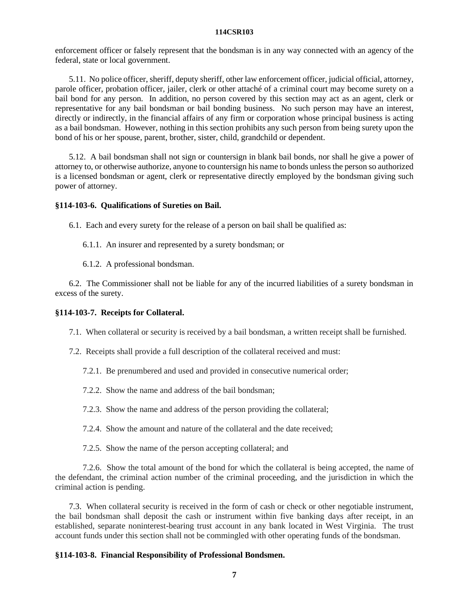enforcement officer or falsely represent that the bondsman is in any way connected with an agency of the federal, state or local government.

5.11. No police officer, sheriff, deputy sheriff, other law enforcement officer, judicial official, attorney, parole officer, probation officer, jailer, clerk or other attaché of a criminal court may become surety on a bail bond for any person. In addition, no person covered by this section may act as an agent, clerk or representative for any bail bondsman or bail bonding business. No such person may have an interest, directly or indirectly, in the financial affairs of any firm or corporation whose principal business is acting as a bail bondsman. However, nothing in this section prohibits any such person from being surety upon the bond of his or her spouse, parent, brother, sister, child, grandchild or dependent.

5.12. A bail bondsman shall not sign or countersign in blank bail bonds, nor shall he give a power of attorney to, or otherwise authorize, anyone to countersign his name to bonds unless the person so authorized is a licensed bondsman or agent, clerk or representative directly employed by the bondsman giving such power of attorney.

#### **§114-103-6. Qualifications of Sureties on Bail.**

6.1. Each and every surety for the release of a person on bail shall be qualified as:

- 6.1.1. An insurer and represented by a surety bondsman; or
- 6.1.2. A professional bondsman.

6.2. The Commissioner shall not be liable for any of the incurred liabilities of a surety bondsman in excess of the surety.

## **§114-103-7. Receipts for Collateral.**

- 7.1. When collateral or security is received by a bail bondsman, a written receipt shall be furnished.
- 7.2. Receipts shall provide a full description of the collateral received and must:
	- 7.2.1. Be prenumbered and used and provided in consecutive numerical order;
	- 7.2.2. Show the name and address of the bail bondsman;
	- 7.2.3. Show the name and address of the person providing the collateral;
	- 7.2.4. Show the amount and nature of the collateral and the date received;
	- 7.2.5. Show the name of the person accepting collateral; and

7.2.6. Show the total amount of the bond for which the collateral is being accepted, the name of the defendant, the criminal action number of the criminal proceeding, and the jurisdiction in which the criminal action is pending.

7.3. When collateral security is received in the form of cash or check or other negotiable instrument, the bail bondsman shall deposit the cash or instrument within five banking days after receipt, in an established, separate noninterest-bearing trust account in any bank located in West Virginia. The trust account funds under this section shall not be commingled with other operating funds of the bondsman.

#### **§114-103-8. Financial Responsibility of Professional Bondsmen.**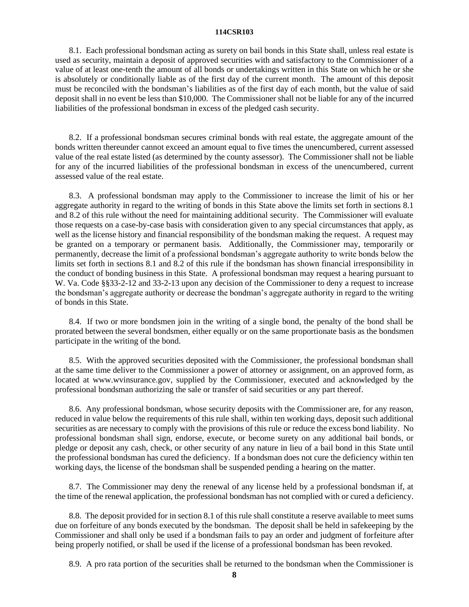8.1.Each professional bondsman acting as surety on bail bonds in this State shall, unless real estate is used as security, maintain a deposit of approved securities with and satisfactory to the Commissioner of a value of at least one-tenth the amount of all bonds or undertakings written in this State on which he or she is absolutely or conditionally liable as of the first day of the current month. The amount of this deposit must be reconciled with the bondsman's liabilities as of the first day of each month, but the value of said deposit shall in no event be less than \$10,000. The Commissioner shall not be liable for any of the incurred liabilities of the professional bondsman in excess of the pledged cash security.

8.2. If a professional bondsman secures criminal bonds with real estate, the aggregate amount of the bonds written thereunder cannot exceed an amount equal to five times the unencumbered, current assessed value of the real estate listed (as determined by the county assessor). The Commissioner shall not be liable for any of the incurred liabilities of the professional bondsman in excess of the unencumbered, current assessed value of the real estate.

8.3. A professional bondsman may apply to the Commissioner to increase the limit of his or her aggregate authority in regard to the writing of bonds in this State above the limits set forth in sections 8.1 and 8.2 of this rule without the need for maintaining additional security. The Commissioner will evaluate those requests on a case-by-case basis with consideration given to any special circumstances that apply, as well as the license history and financial responsibility of the bondsman making the request. A request may be granted on a temporary or permanent basis. Additionally, the Commissioner may, temporarily or permanently, decrease the limit of a professional bondsman's aggregate authority to write bonds below the limits set forth in sections 8.1 and 8.2 of this rule if the bondsman has shown financial irresponsibility in the conduct of bonding business in this State. A professional bondsman may request a hearing pursuant to W. Va. Code §§33-2-12 and 33-2-13 upon any decision of the Commissioner to deny a request to increase the bondsman's aggregate authority or decrease the bondman's aggregate authority in regard to the writing of bonds in this State.

8.4. If two or more bondsmen join in the writing of a single bond, the penalty of the bond shall be prorated between the several bondsmen, either equally or on the same proportionate basis as the bondsmen participate in the writing of the bond.

8.5. With the approved securities deposited with the Commissioner, the professional bondsman shall at the same time deliver to the Commissioner a power of attorney or assignment, on an approved form, as located at www.wvinsurance.gov, supplied by the Commissioner, executed and acknowledged by the professional bondsman authorizing the sale or transfer of said securities or any part thereof.

8.6. Any professional bondsman, whose security deposits with the Commissioner are, for any reason, reduced in value below the requirements of this rule shall, within ten working days, deposit such additional securities as are necessary to comply with the provisions of this rule or reduce the excess bond liability. No professional bondsman shall sign, endorse, execute, or become surety on any additional bail bonds, or pledge or deposit any cash, check, or other security of any nature in lieu of a bail bond in this State until the professional bondsman has cured the deficiency. If a bondsman does not cure the deficiency within ten working days, the license of the bondsman shall be suspended pending a hearing on the matter.

8.7. The Commissioner may deny the renewal of any license held by a professional bondsman if, at the time of the renewal application, the professional bondsman has not complied with or cured a deficiency.

8.8. The deposit provided for in section 8.1 of this rule shall constitute a reserve available to meet sums due on forfeiture of any bonds executed by the bondsman. The deposit shall be held in safekeeping by the Commissioner and shall only be used if a bondsman fails to pay an order and judgment of forfeiture after being properly notified, or shall be used if the license of a professional bondsman has been revoked.

8.9. A pro rata portion of the securities shall be returned to the bondsman when the Commissioner is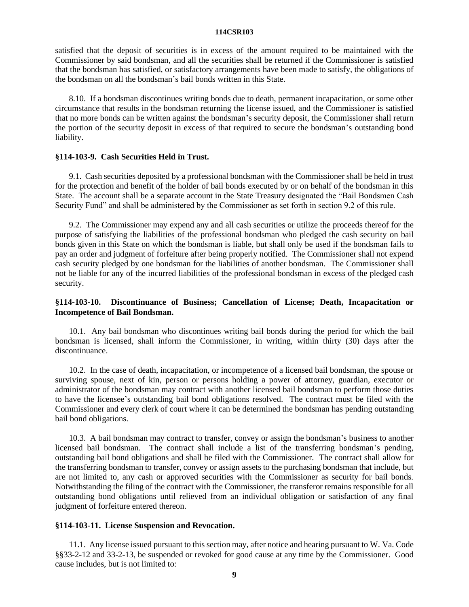satisfied that the deposit of securities is in excess of the amount required to be maintained with the Commissioner by said bondsman, and all the securities shall be returned if the Commissioner is satisfied that the bondsman has satisfied, or satisfactory arrangements have been made to satisfy, the obligations of the bondsman on all the bondsman's bail bonds written in this State.

8.10. If a bondsman discontinues writing bonds due to death, permanent incapacitation, or some other circumstance that results in the bondsman returning the license issued, and the Commissioner is satisfied that no more bonds can be written against the bondsman's security deposit, the Commissioner shall return the portion of the security deposit in excess of that required to secure the bondsman's outstanding bond liability.

## **§114-103-9. Cash Securities Held in Trust.**

9.1. Cash securities deposited by a professional bondsman with the Commissioner shall be held in trust for the protection and benefit of the holder of bail bonds executed by or on behalf of the bondsman in this State. The account shall be a separate account in the State Treasury designated the "Bail Bondsmen Cash Security Fund" and shall be administered by the Commissioner as set forth in section 9.2 of this rule.

9.2. The Commissioner may expend any and all cash securities or utilize the proceeds thereof for the purpose of satisfying the liabilities of the professional bondsman who pledged the cash security on bail bonds given in this State on which the bondsman is liable, but shall only be used if the bondsman fails to pay an order and judgment of forfeiture after being properly notified. The Commissioner shall not expend cash security pledged by one bondsman for the liabilities of another bondsman. The Commissioner shall not be liable for any of the incurred liabilities of the professional bondsman in excess of the pledged cash security.

## **§114-103-10. Discontinuance of Business; Cancellation of License; Death, Incapacitation or Incompetence of Bail Bondsman.**

10.1.Any bail bondsman who discontinues writing bail bonds during the period for which the bail bondsman is licensed, shall inform the Commissioner, in writing, within thirty (30) days after the discontinuance.

10.2. In the case of death, incapacitation, or incompetence of a licensed bail bondsman, the spouse or surviving spouse, next of kin, person or persons holding a power of attorney, guardian, executor or administrator of the bondsman may contract with another licensed bail bondsman to perform those duties to have the licensee's outstanding bail bond obligations resolved. The contract must be filed with the Commissioner and every clerk of court where it can be determined the bondsman has pending outstanding bail bond obligations.

10.3. A bail bondsman may contract to transfer, convey or assign the bondsman's business to another licensed bail bondsman. The contract shall include a list of the transferring bondsman's pending, outstanding bail bond obligations and shall be filed with the Commissioner. The contract shall allow for the transferring bondsman to transfer, convey or assign assets to the purchasing bondsman that include, but are not limited to, any cash or approved securities with the Commissioner as security for bail bonds. Notwithstanding the filing of the contract with the Commissioner, the transferor remains responsible for all outstanding bond obligations until relieved from an individual obligation or satisfaction of any final judgment of forfeiture entered thereon.

#### **§114-103-11. License Suspension and Revocation.**

11.1. Any license issued pursuant to this section may, after notice and hearing pursuant to W. Va. Code §§33-2-12 and 33-2-13, be suspended or revoked for good cause at any time by the Commissioner. Good cause includes, but is not limited to: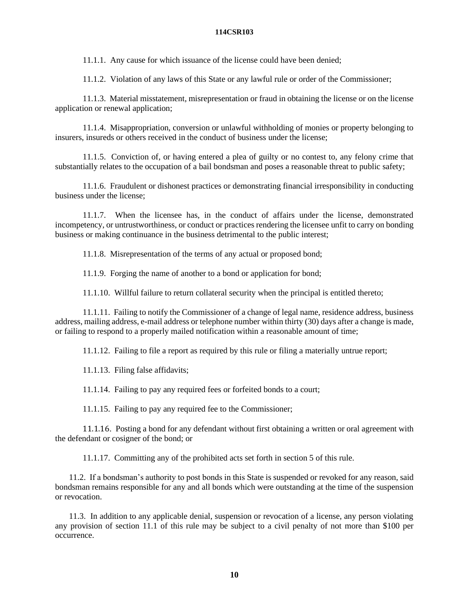11.1.1. Any cause for which issuance of the license could have been denied;

11.1.2. Violation of any laws of this State or any lawful rule or order of the Commissioner;

11.1.3. Material misstatement, misrepresentation or fraud in obtaining the license or on the license application or renewal application;

11.1.4. Misappropriation, conversion or unlawful withholding of monies or property belonging to insurers, insureds or others received in the conduct of business under the license;

11.1.5. Conviction of, or having entered a plea of guilty or no contest to, any felony crime that substantially relates to the occupation of a bail bondsman and poses a reasonable threat to public safety;

11.1.6. Fraudulent or dishonest practices or demonstrating financial irresponsibility in conducting business under the license;

11.1.7. When the licensee has, in the conduct of affairs under the license, demonstrated incompetency, or untrustworthiness, or conduct or practices rendering the licensee unfit to carry on bonding business or making continuance in the business detrimental to the public interest;

11.1.8. Misrepresentation of the terms of any actual or proposed bond;

11.1.9. Forging the name of another to a bond or application for bond;

11.1.10. Willful failure to return collateral security when the principal is entitled thereto;

11.1.11. Failing to notify the Commissioner of a change of legal name, residence address, business address, mailing address, e-mail address or telephone number within thirty (30) days after a change is made, or failing to respond to a properly mailed notification within a reasonable amount of time;

11.1.12. Failing to file a report as required by this rule or filing a materially untrue report;

11.1.13. Filing false affidavits;

11.1.14. Failing to pay any required fees or forfeited bonds to a court;

11.1.15. Failing to pay any required fee to the Commissioner;

11.1.16. Posting a bond for any defendant without first obtaining a written or oral agreement with the defendant or cosigner of the bond; or

11.1.17. Committing any of the prohibited acts set forth in section 5 of this rule.

11.2. If a bondsman's authority to post bonds in this State is suspended or revoked for any reason, said bondsman remains responsible for any and all bonds which were outstanding at the time of the suspension or revocation.

11.3. In addition to any applicable denial, suspension or revocation of a license, any person violating any provision of section 11.1 of this rule may be subject to a civil penalty of not more than \$100 per occurrence.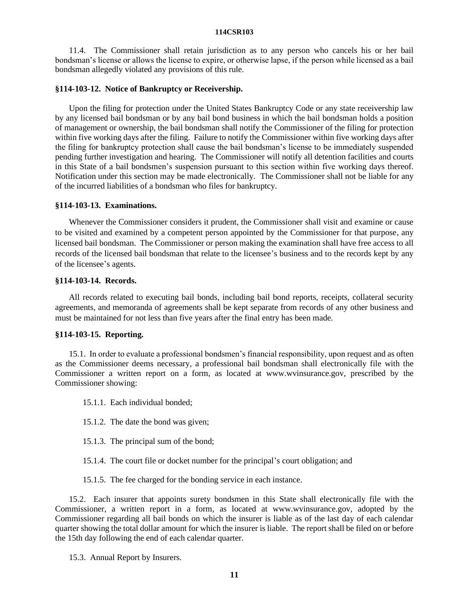11.4. The Commissioner shall retain jurisdiction as to any person who cancels his or her bail bondsman's license or allows the license to expire, or otherwise lapse, if the person while licensed as a bail bondsman allegedly violated any provisions of this rule.

## **§114-103-12. Notice of Bankruptcy or Receivership.**

Upon the filing for protection under the United States Bankruptcy Code or any state receivership law by any licensed bail bondsman or by any bail bond business in which the bail bondsman holds a position of management or ownership, the bail bondsman shall notify the Commissioner of the filing for protection within five working days after the filing. Failure to notify the Commissioner within five working days after the filing for bankruptcy protection shall cause the bail bondsman's license to be immediately suspended pending further investigation and hearing. The Commissioner will notify all detention facilities and courts in this State of a bail bondsmen's suspension pursuant to this section within five working days thereof. Notification under this section may be made electronically. The Commissioner shall not be liable for any of the incurred liabilities of a bondsman who files for bankruptcy.

#### **§114-103-13. Examinations.**

Whenever the Commissioner considers it prudent, the Commissioner shall visit and examine or cause to be visited and examined by a competent person appointed by the Commissioner for that purpose, any licensed bail bondsman. The Commissioner or person making the examination shall have free access to all records of the licensed bail bondsman that relate to the licensee's business and to the records kept by any of the licensee's agents.

## **§114-103-14. Records.**

All records related to executing bail bonds, including bail bond reports, receipts, collateral security agreements, and memoranda of agreements shall be kept separate from records of any other business and must be maintained for not less than five years after the final entry has been made.

# **§114-103-15. Reporting.**

15.1. In order to evaluate a professional bondsmen's financial responsibility, upon request and as often as the Commissioner deems necessary, a professional bail bondsman shall electronically file with the Commissioner a written report on a form, as located at www.wvinsurance.gov, prescribed by the Commissioner showing:

15.1.1. Each individual bonded;

- 15.1.2. The date the bond was given;
- 15.1.3. The principal sum of the bond;
- 15.1.4. The court file or docket number for the principal's court obligation; and
- 15.1.5. The fee charged for the bonding service in each instance.

15.2. Each insurer that appoints surety bondsmen in this State shall electronically file with the Commissioner, a written report in a form, as located at www.wvinsurance.gov, adopted by the Commissioner regarding all bail bonds on which the insurer is liable as of the last day of each calendar quarter showing the total dollar amount for which the insurer is liable. The report shall be filed on or before the 15th day following the end of each calendar quarter.

15.3. Annual Report by Insurers.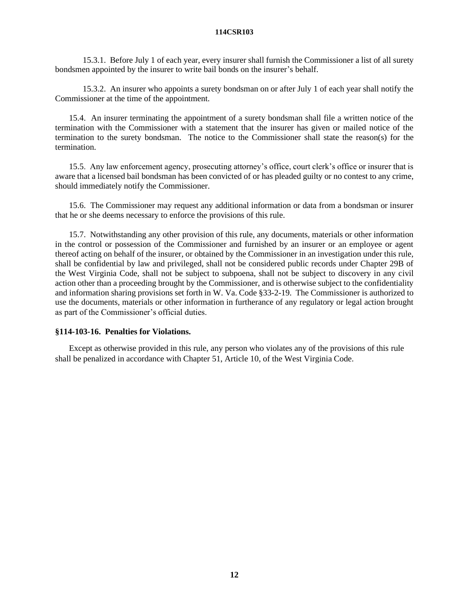15.3.1. Before July 1 of each year, every insurer shall furnish the Commissioner a list of all surety bondsmen appointed by the insurer to write bail bonds on the insurer's behalf.

15.3.2. An insurer who appoints a surety bondsman on or after July 1 of each year shall notify the Commissioner at the time of the appointment.

15.4. An insurer terminating the appointment of a surety bondsman shall file a written notice of the termination with the Commissioner with a statement that the insurer has given or mailed notice of the termination to the surety bondsman. The notice to the Commissioner shall state the reason(s) for the termination.

15.5. Any law enforcement agency, prosecuting attorney's office, court clerk's office or insurer that is aware that a licensed bail bondsman has been convicted of or has pleaded guilty or no contest to any crime, should immediately notify the Commissioner.

15.6. The Commissioner may request any additional information or data from a bondsman or insurer that he or she deems necessary to enforce the provisions of this rule.

15.7. Notwithstanding any other provision of this rule, any documents, materials or other information in the control or possession of the Commissioner and furnished by an insurer or an employee or agent thereof acting on behalf of the insurer, or obtained by the Commissioner in an investigation under this rule, shall be confidential by law and privileged, shall not be considered public records under Chapter 29B of the West Virginia Code, shall not be subject to subpoena, shall not be subject to discovery in any civil action other than a proceeding brought by the Commissioner, and is otherwise subject to the confidentiality and information sharing provisions set forth in W. Va. Code §33-2-19. The Commissioner is authorized to use the documents, materials or other information in furtherance of any regulatory or legal action brought as part of the Commissioner's official duties.

# **§114-103-16. Penalties for Violations.**

Except as otherwise provided in this rule, any person who violates any of the provisions of this rule shall be penalized in accordance with Chapter 51, Article 10, of the West Virginia Code.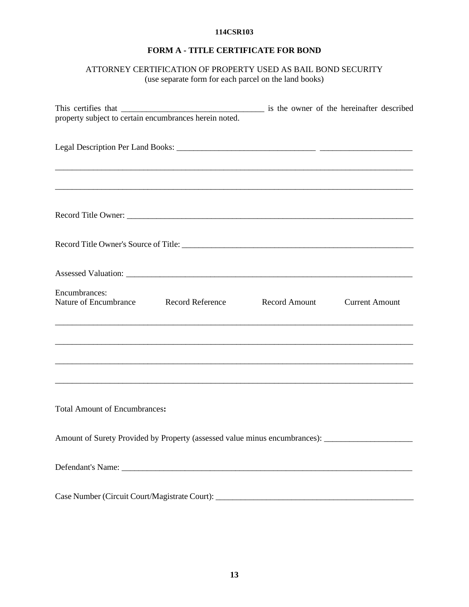# **FORM A - TITLE CERTIFICATE FOR BOND**

# ATTORNEY CERTIFICATION OF PROPERTY USED AS BAIL BOND SECURITY (use separate form for each parcel on the land books)

| property subject to certain encumbrances herein noted.                                               |  |                       |
|------------------------------------------------------------------------------------------------------|--|-----------------------|
|                                                                                                      |  |                       |
|                                                                                                      |  |                       |
|                                                                                                      |  |                       |
|                                                                                                      |  |                       |
|                                                                                                      |  |                       |
| Encumbrances:<br>Nature of Encumbrance Record Reference Record Amount                                |  | <b>Current Amount</b> |
|                                                                                                      |  |                       |
|                                                                                                      |  |                       |
| <b>Total Amount of Encumbrances:</b>                                                                 |  |                       |
| Amount of Surety Provided by Property (assessed value minus encumbrances): _________________________ |  |                       |
|                                                                                                      |  |                       |
|                                                                                                      |  |                       |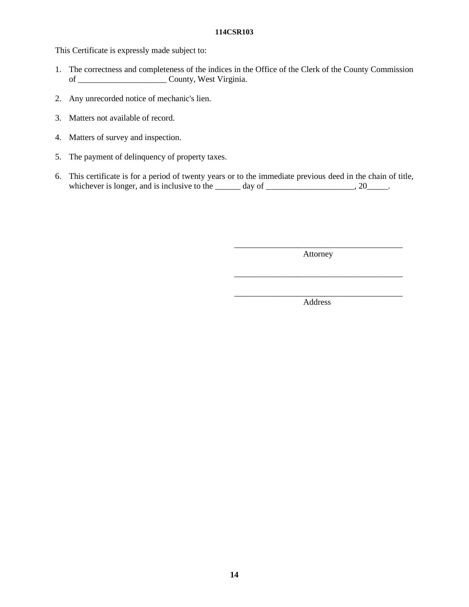This Certificate is expressly made subject to:

- 1. The correctness and completeness of the indices in the Office of the Clerk of the County Commission of \_\_\_\_\_\_\_\_\_\_\_\_\_\_\_\_\_\_\_\_\_ County, West Virginia.
- 2. Any unrecorded notice of mechanic's lien.
- 3. Matters not available of record.
- 4. Matters of survey and inspection.
- 5. The payment of delinquency of property taxes.
- 6. This certificate is for a period of twenty years or to the immediate previous deed in the chain of title, whichever is longer, and is inclusive to the  $\frac{1}{2}$  day of  $\frac{1}{2}$ , 20

\_\_\_\_\_\_\_\_\_\_\_\_\_\_\_\_\_\_\_\_\_\_\_\_\_\_\_\_\_\_\_\_\_\_\_\_\_\_\_\_ Attorney

\_\_\_\_\_\_\_\_\_\_\_\_\_\_\_\_\_\_\_\_\_\_\_\_\_\_\_\_\_\_\_\_\_\_\_\_\_\_\_\_

\_\_\_\_\_\_\_\_\_\_\_\_\_\_\_\_\_\_\_\_\_\_\_\_\_\_\_\_\_\_\_\_\_\_\_\_\_\_\_\_ Address